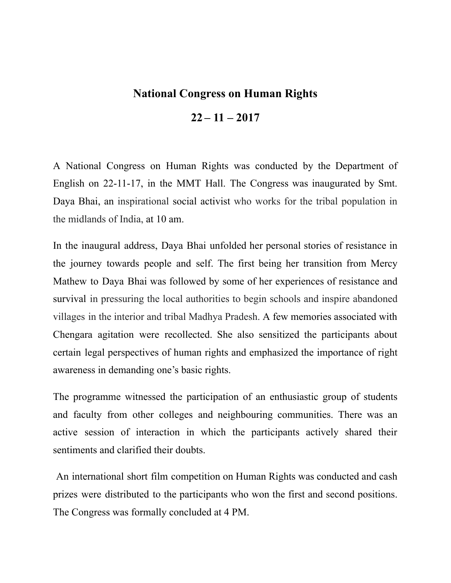#### **National Congress on Human Rights**

#### **22 – 11 – 2017**

A National Congress on Human Rights was conducted by the Department of English on 22-11-17, in the MMT Hall. The Congress was inaugurated by Smt. Daya Bhai, an inspirational social activist who works for the tribal population in the midlands of India, at 10 am.

In the inaugural address, Daya Bhai unfolded her personal stories of resistance in the journey towards people and self. The first being her transition from Mercy Mathew to Daya Bhai was followed by some of her experiences of resistance and survival in pressuring the local authorities to begin schools and inspire abandoned villages in the interior and tribal Madhya Pradesh. A few memories associated with Chengara agitation were recollected. She also sensitized the participants about certain legal perspectives of human rights and emphasized the importance of right awareness in demanding one's basic rights.

The programme witnessed the participation of an enthusiastic group of students and faculty from other colleges and neighbouring communities. There was an active session of interaction in which the participants actively shared their sentiments and clarified their doubts.

An international short film competition on Human Rights was conducted and cash prizes were distributed to the participants who won the first and second positions. The Congress was formally concluded at 4 PM.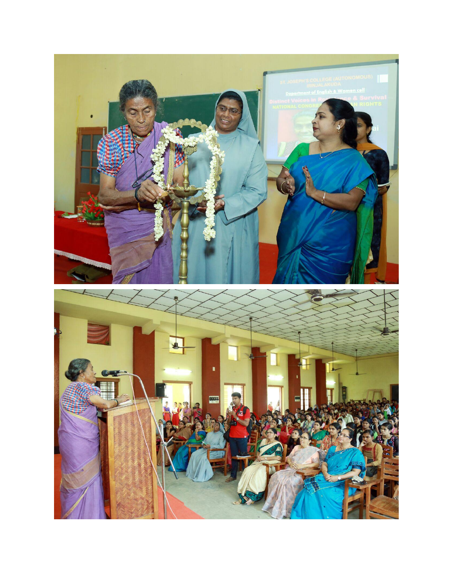